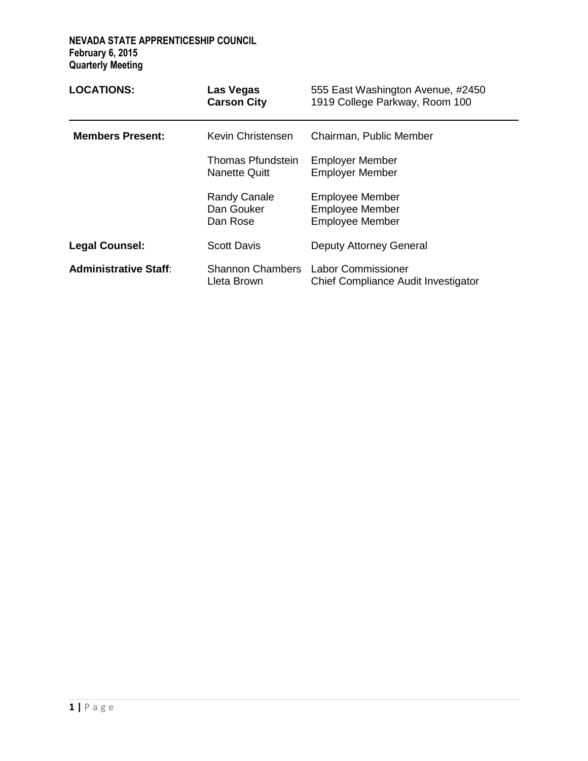| <b>LOCATIONS:</b>            | Las Vegas<br><b>Carson City</b>                    | 555 East Washington Avenue, #2450<br>1919 College Parkway, Room 100        |
|------------------------------|----------------------------------------------------|----------------------------------------------------------------------------|
| <b>Members Present:</b>      | Kevin Christensen                                  | Chairman, Public Member                                                    |
|                              | <b>Thomas Pfundstein</b><br><b>Nanette Quitt</b>   | <b>Employer Member</b><br><b>Employer Member</b>                           |
|                              | <b>Randy Canale</b><br>Dan Gouker<br>Dan Rose      | <b>Employee Member</b><br><b>Employee Member</b><br><b>Employee Member</b> |
| <b>Legal Counsel:</b>        | <b>Scott Davis</b>                                 | <b>Deputy Attorney General</b>                                             |
| <b>Administrative Staff:</b> | Shannon Chambers Labor Commissioner<br>Lleta Brown | Chief Compliance Audit Investigator                                        |

 $\overline{\phantom{0}}$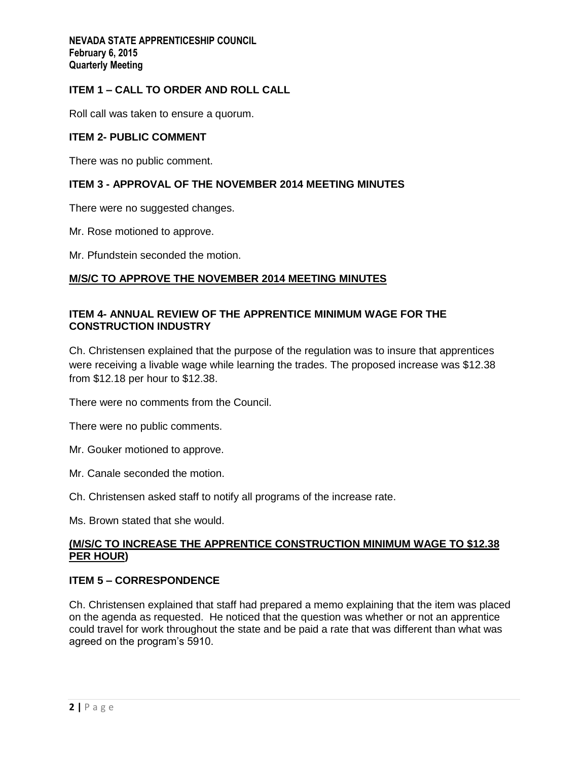# **ITEM 1 – CALL TO ORDER AND ROLL CALL**

Roll call was taken to ensure a quorum.

### **ITEM 2- PUBLIC COMMENT**

There was no public comment.

# **ITEM 3 - APPROVAL OF THE NOVEMBER 2014 MEETING MINUTES**

There were no suggested changes.

Mr. Rose motioned to approve.

Mr. Pfundstein seconded the motion.

# **M/S/C TO APPROVE THE NOVEMBER 2014 MEETING MINUTES**

## **ITEM 4- ANNUAL REVIEW OF THE APPRENTICE MINIMUM WAGE FOR THE CONSTRUCTION INDUSTRY**

Ch. Christensen explained that the purpose of the regulation was to insure that apprentices were receiving a livable wage while learning the trades. The proposed increase was \$12.38 from \$12.18 per hour to \$12.38.

There were no comments from the Council.

There were no public comments.

Mr. Gouker motioned to approve.

Mr. Canale seconded the motion.

Ch. Christensen asked staff to notify all programs of the increase rate.

Ms. Brown stated that she would.

# **(M/S/C TO INCREASE THE APPRENTICE CONSTRUCTION MINIMUM WAGE TO \$12.38 PER HOUR)**

# **ITEM 5 – CORRESPONDENCE**

Ch. Christensen explained that staff had prepared a memo explaining that the item was placed on the agenda as requested. He noticed that the question was whether or not an apprentice could travel for work throughout the state and be paid a rate that was different than what was agreed on the program's 5910.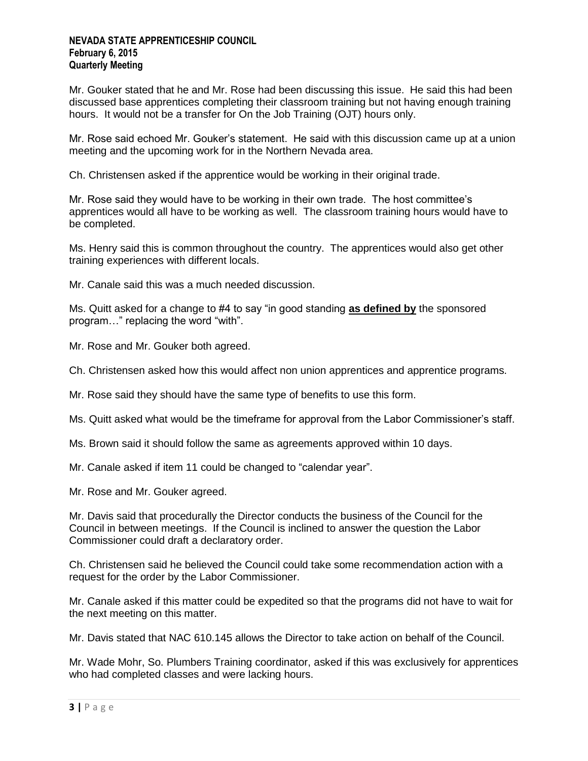Mr. Gouker stated that he and Mr. Rose had been discussing this issue. He said this had been discussed base apprentices completing their classroom training but not having enough training hours. It would not be a transfer for On the Job Training (OJT) hours only.

Mr. Rose said echoed Mr. Gouker's statement. He said with this discussion came up at a union meeting and the upcoming work for in the Northern Nevada area.

Ch. Christensen asked if the apprentice would be working in their original trade.

Mr. Rose said they would have to be working in their own trade. The host committee's apprentices would all have to be working as well. The classroom training hours would have to be completed.

Ms. Henry said this is common throughout the country. The apprentices would also get other training experiences with different locals.

Mr. Canale said this was a much needed discussion.

Ms. Quitt asked for a change to #4 to say "in good standing **as defined by** the sponsored program…" replacing the word "with".

Mr. Rose and Mr. Gouker both agreed.

Ch. Christensen asked how this would affect non union apprentices and apprentice programs.

Mr. Rose said they should have the same type of benefits to use this form.

Ms. Quitt asked what would be the timeframe for approval from the Labor Commissioner's staff.

Ms. Brown said it should follow the same as agreements approved within 10 days.

Mr. Canale asked if item 11 could be changed to "calendar year".

Mr. Rose and Mr. Gouker agreed.

Mr. Davis said that procedurally the Director conducts the business of the Council for the Council in between meetings. If the Council is inclined to answer the question the Labor Commissioner could draft a declaratory order.

Ch. Christensen said he believed the Council could take some recommendation action with a request for the order by the Labor Commissioner.

Mr. Canale asked if this matter could be expedited so that the programs did not have to wait for the next meeting on this matter.

Mr. Davis stated that NAC 610.145 allows the Director to take action on behalf of the Council.

Mr. Wade Mohr, So. Plumbers Training coordinator, asked if this was exclusively for apprentices who had completed classes and were lacking hours.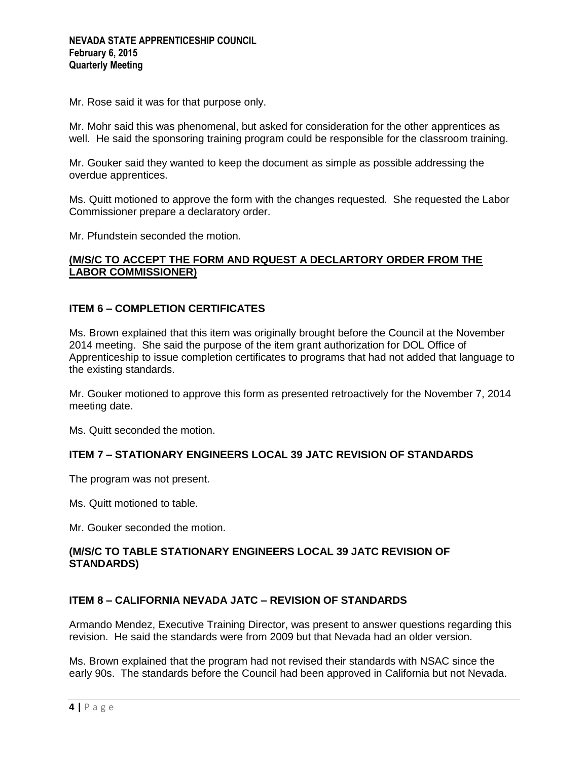Mr. Rose said it was for that purpose only.

Mr. Mohr said this was phenomenal, but asked for consideration for the other apprentices as well. He said the sponsoring training program could be responsible for the classroom training.

Mr. Gouker said they wanted to keep the document as simple as possible addressing the overdue apprentices.

Ms. Quitt motioned to approve the form with the changes requested. She requested the Labor Commissioner prepare a declaratory order.

Mr. Pfundstein seconded the motion.

## **(M/S/C TO ACCEPT THE FORM AND RQUEST A DECLARTORY ORDER FROM THE LABOR COMMISSIONER)**

## **ITEM 6 – COMPLETION CERTIFICATES**

Ms. Brown explained that this item was originally brought before the Council at the November 2014 meeting. She said the purpose of the item grant authorization for DOL Office of Apprenticeship to issue completion certificates to programs that had not added that language to the existing standards.

Mr. Gouker motioned to approve this form as presented retroactively for the November 7, 2014 meeting date.

Ms. Quitt seconded the motion.

## **ITEM 7 – STATIONARY ENGINEERS LOCAL 39 JATC REVISION OF STANDARDS**

The program was not present.

Ms. Quitt motioned to table.

Mr. Gouker seconded the motion.

## **(M/S/C TO TABLE STATIONARY ENGINEERS LOCAL 39 JATC REVISION OF STANDARDS)**

### **ITEM 8 – CALIFORNIA NEVADA JATC – REVISION OF STANDARDS**

Armando Mendez, Executive Training Director, was present to answer questions regarding this revision. He said the standards were from 2009 but that Nevada had an older version.

Ms. Brown explained that the program had not revised their standards with NSAC since the early 90s. The standards before the Council had been approved in California but not Nevada.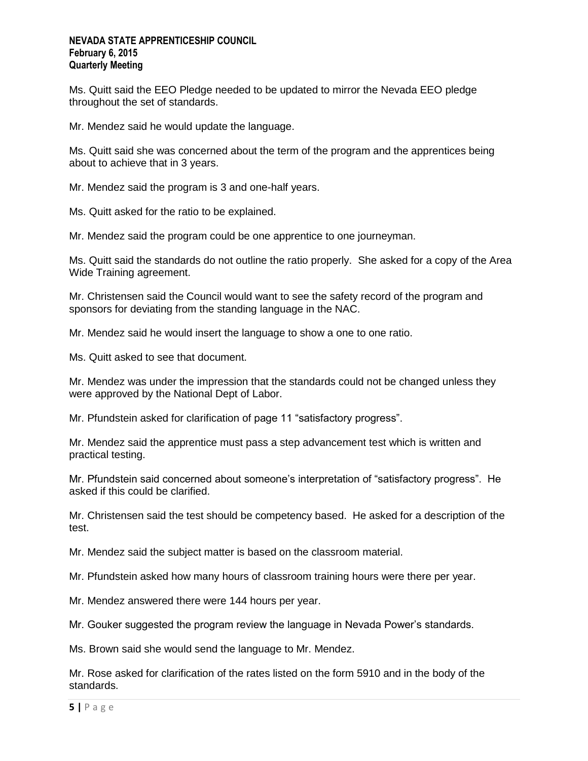Ms. Quitt said the EEO Pledge needed to be updated to mirror the Nevada EEO pledge throughout the set of standards.

Mr. Mendez said he would update the language.

Ms. Quitt said she was concerned about the term of the program and the apprentices being about to achieve that in 3 years.

Mr. Mendez said the program is 3 and one-half years.

Ms. Quitt asked for the ratio to be explained.

Mr. Mendez said the program could be one apprentice to one journeyman.

Ms. Quitt said the standards do not outline the ratio properly. She asked for a copy of the Area Wide Training agreement.

Mr. Christensen said the Council would want to see the safety record of the program and sponsors for deviating from the standing language in the NAC.

Mr. Mendez said he would insert the language to show a one to one ratio.

Ms. Quitt asked to see that document.

Mr. Mendez was under the impression that the standards could not be changed unless they were approved by the National Dept of Labor.

Mr. Pfundstein asked for clarification of page 11 "satisfactory progress".

Mr. Mendez said the apprentice must pass a step advancement test which is written and practical testing.

Mr. Pfundstein said concerned about someone's interpretation of "satisfactory progress". He asked if this could be clarified.

Mr. Christensen said the test should be competency based. He asked for a description of the test.

Mr. Mendez said the subject matter is based on the classroom material.

Mr. Pfundstein asked how many hours of classroom training hours were there per year.

Mr. Mendez answered there were 144 hours per year.

Mr. Gouker suggested the program review the language in Nevada Power's standards.

Ms. Brown said she would send the language to Mr. Mendez.

Mr. Rose asked for clarification of the rates listed on the form 5910 and in the body of the standards.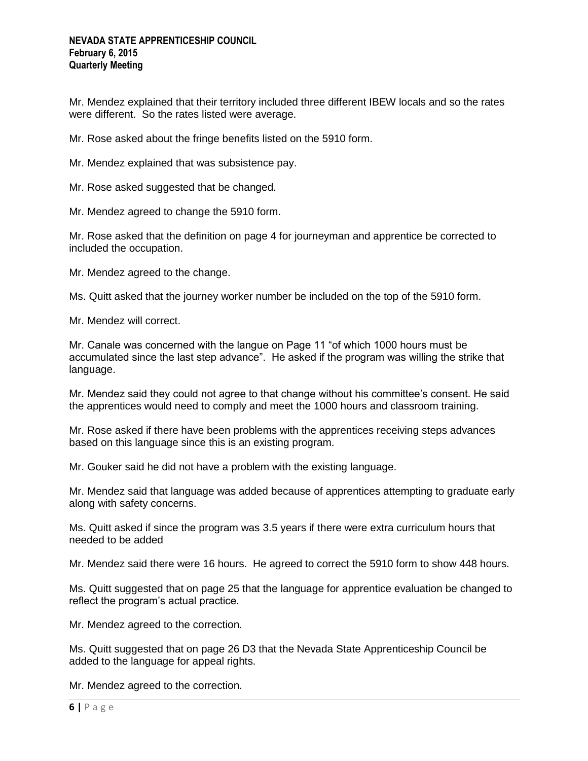Mr. Mendez explained that their territory included three different IBEW locals and so the rates were different. So the rates listed were average.

Mr. Rose asked about the fringe benefits listed on the 5910 form.

Mr. Mendez explained that was subsistence pay.

Mr. Rose asked suggested that be changed.

Mr. Mendez agreed to change the 5910 form.

Mr. Rose asked that the definition on page 4 for journeyman and apprentice be corrected to included the occupation.

Mr. Mendez agreed to the change.

Ms. Quitt asked that the journey worker number be included on the top of the 5910 form.

Mr. Mendez will correct.

Mr. Canale was concerned with the langue on Page 11 "of which 1000 hours must be accumulated since the last step advance". He asked if the program was willing the strike that language.

Mr. Mendez said they could not agree to that change without his committee's consent. He said the apprentices would need to comply and meet the 1000 hours and classroom training.

Mr. Rose asked if there have been problems with the apprentices receiving steps advances based on this language since this is an existing program.

Mr. Gouker said he did not have a problem with the existing language.

Mr. Mendez said that language was added because of apprentices attempting to graduate early along with safety concerns.

Ms. Quitt asked if since the program was 3.5 years if there were extra curriculum hours that needed to be added

Mr. Mendez said there were 16 hours. He agreed to correct the 5910 form to show 448 hours.

Ms. Quitt suggested that on page 25 that the language for apprentice evaluation be changed to reflect the program's actual practice.

Mr. Mendez agreed to the correction.

Ms. Quitt suggested that on page 26 D3 that the Nevada State Apprenticeship Council be added to the language for appeal rights.

Mr. Mendez agreed to the correction.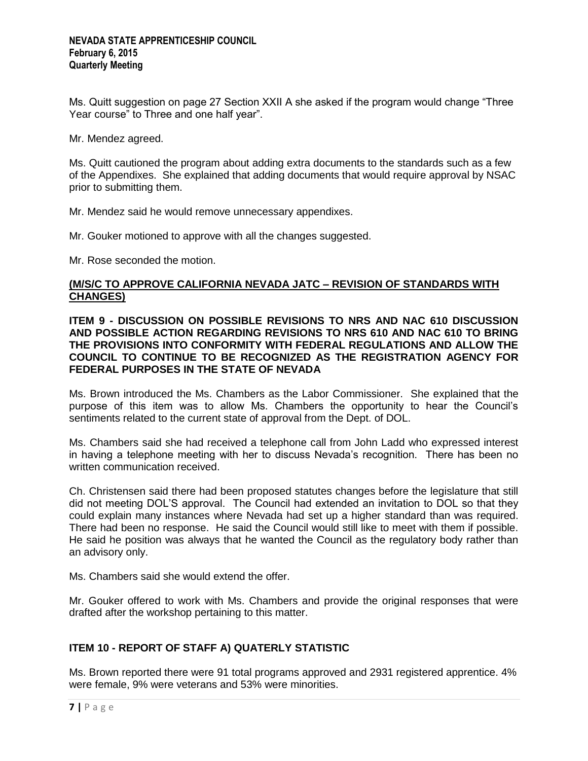Ms. Quitt suggestion on page 27 Section XXII A she asked if the program would change "Three Year course" to Three and one half year".

Mr. Mendez agreed.

Ms. Quitt cautioned the program about adding extra documents to the standards such as a few of the Appendixes. She explained that adding documents that would require approval by NSAC prior to submitting them.

Mr. Mendez said he would remove unnecessary appendixes.

Mr. Gouker motioned to approve with all the changes suggested.

Mr. Rose seconded the motion.

## **(M/S/C TO APPROVE CALIFORNIA NEVADA JATC – REVISION OF STANDARDS WITH CHANGES)**

**ITEM 9 - DISCUSSION ON POSSIBLE REVISIONS TO NRS AND NAC 610 DISCUSSION AND POSSIBLE ACTION REGARDING REVISIONS TO NRS 610 AND NAC 610 TO BRING THE PROVISIONS INTO CONFORMITY WITH FEDERAL REGULATIONS AND ALLOW THE COUNCIL TO CONTINUE TO BE RECOGNIZED AS THE REGISTRATION AGENCY FOR FEDERAL PURPOSES IN THE STATE OF NEVADA**

Ms. Brown introduced the Ms. Chambers as the Labor Commissioner. She explained that the purpose of this item was to allow Ms. Chambers the opportunity to hear the Council's sentiments related to the current state of approval from the Dept. of DOL.

Ms. Chambers said she had received a telephone call from John Ladd who expressed interest in having a telephone meeting with her to discuss Nevada's recognition. There has been no written communication received.

Ch. Christensen said there had been proposed statutes changes before the legislature that still did not meeting DOL'S approval. The Council had extended an invitation to DOL so that they could explain many instances where Nevada had set up a higher standard than was required. There had been no response. He said the Council would still like to meet with them if possible. He said he position was always that he wanted the Council as the regulatory body rather than an advisory only.

Ms. Chambers said she would extend the offer.

Mr. Gouker offered to work with Ms. Chambers and provide the original responses that were drafted after the workshop pertaining to this matter.

# **ITEM 10 - REPORT OF STAFF A) QUATERLY STATISTIC**

Ms. Brown reported there were 91 total programs approved and 2931 registered apprentice. 4% were female, 9% were veterans and 53% were minorities.